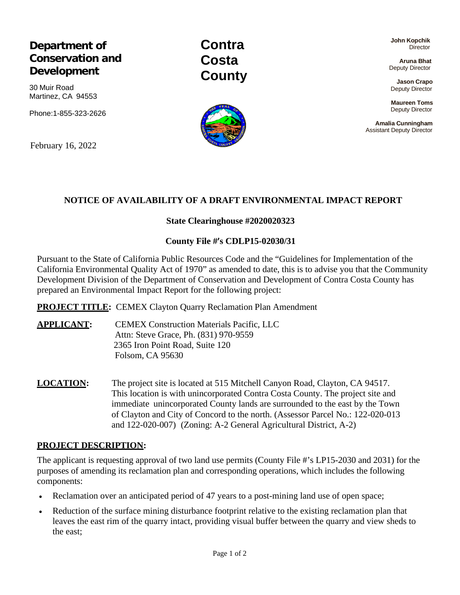# **Department of Conservation and Development**

30 Muir Road Martinez, CA 94553

Phone:1-855-323-2626

February 16, 2022

**Contra Costa County**

**John Kopchik Director** 

**Aruna Bhat** Deputy Director

**Jason Crapo** Deputy Director

**Maureen Toms** Deputy Director

**Amalia Cunningham** Assistant Deputy Director

### **NOTICE OF AVAILABILITY OF A DRAFT ENVIRONMENTAL IMPACT REPORT**

### **State Clearinghouse #2020020323**

### **County File #'s CDLP15-02030/31**

Pursuant to the State of California Public Resources Code and the "Guidelines for Implementation of the California Environmental Quality Act of 1970" as amended to date, this is to advise you that the Community Development Division of the Department of Conservation and Development of Contra Costa County has prepared an Environmental Impact Report for the following project:

**PROJECT TITLE:** CEMEX Clayton Quarry Reclamation Plan Amendment

**APPLICANT:** CEMEX Construction Materials Pacific, LLC Attn: Steve Grace, Ph. (831) 970-9559 2365 Iron Point Road, Suite 120 Folsom, CA 95630

**LOCATION:** The project site is located at 515 Mitchell Canyon Road, Clayton, CA 94517. This location is with unincorporated Contra Costa County. The project site and immediate unincorporated County lands are surrounded to the east by the Town of Clayton and City of Concord to the north. (Assessor Parcel No.: 122-020-013 and 122-020-007) (Zoning: A-2 General Agricultural District, A-2)

#### **PROJECT DESCRIPTION:**

The applicant is requesting approval of two land use permits (County File #'s LP15-2030 and 2031) for the purposes of amending its reclamation plan and corresponding operations, which includes the following components:

- Reclamation over an anticipated period of 47 years to a post-mining land use of open space;
- Reduction of the surface mining disturbance footprint relative to the existing reclamation plan that leaves the east rim of the quarry intact, providing visual buffer between the quarry and view sheds to the east;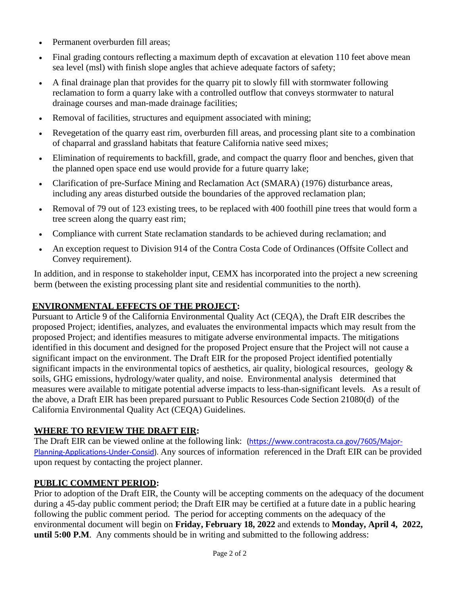- Permanent overburden fill areas:
- Final grading contours reflecting a maximum depth of excavation at elevation 110 feet above mean sea level (msl) with finish slope angles that achieve adequate factors of safety;
- A final drainage plan that provides for the quarry pit to slowly fill with stormwater following reclamation to form a quarry lake with a controlled outflow that conveys stormwater to natural drainage courses and man-made drainage facilities;
- Removal of facilities, structures and equipment associated with mining;
- Revegetation of the quarry east rim, overburden fill areas, and processing plant site to a combination of chaparral and grassland habitats that feature California native seed mixes;
- Elimination of requirements to backfill, grade, and compact the quarry floor and benches, given that the planned open space end use would provide for a future quarry lake;
- Clarification of pre-Surface Mining and Reclamation Act (SMARA) (1976) disturbance areas, including any areas disturbed outside the boundaries of the approved reclamation plan;
- Removal of 79 out of 123 existing trees, to be replaced with 400 foothill pine trees that would form a tree screen along the quarry east rim;
- Compliance with current State reclamation standards to be achieved during reclamation; and
- An exception request to Division 914 of the Contra Costa Code of Ordinances (Offsite Collect and Convey requirement).

In addition, and in response to stakeholder input, CEMX has incorporated into the project a new screening berm (between the existing processing plant site and residential communities to the north).

# **ENVIRONMENTAL EFFECTS OF THE PROJECT:**

Pursuant to Article 9 of the California Environmental Quality Act (CEQA), the Draft EIR describes the proposed Project; identifies, analyzes, and evaluates the environmental impacts which may result from the proposed Project; and identifies measures to mitigate adverse environmental impacts. The mitigations identified in this document and designed for the proposed Project ensure that the Project will not cause a significant impact on the environment. The Draft EIR for the proposed Project identified potentially significant impacts in the environmental topics of aesthetics, air quality, biological resources, geology  $\&$ soils, GHG emissions, hydrology/water quality, and noise. Environmental analysis determined that measures were available to mitigate potential adverse impacts to less-than-significant levels. As a result of the above, a Draft EIR has been prepared pursuant to Public Resources Code Section 21080(d) of the California Environmental Quality Act (CEQA) Guidelines.

# **WHERE TO REVIEW THE DRAFT EIR:**

The Draft EIR can be viewed online at the following link: (https:/[/www.contracosta.ca.gov/7605/Major-](http://www.contracosta.ca.gov/7605/Major-Planning-Applications-Under-Consid))[Planning-Applications-Under-Consid\).](http://www.contracosta.ca.gov/7605/Major-Planning-Applications-Under-Consid)) Any sources of information referenced in the Draft EIR can be provided upon request by contacting the project planner.

# **PUBLIC COMMENT PERIOD:**

Prior to adoption of the Draft EIR, the County will be accepting comments on the adequacy of the document during a 45-day public comment period; the Draft EIR may be certified at a future date in a public hearing following the public comment period. The period for accepting comments on the adequacy of the environmental document will begin on **Friday, February 18, 2022** and extends to **Monday, April 4, 2022, until 5:00 P.M**. Any comments should be in writing and submitted to the following address: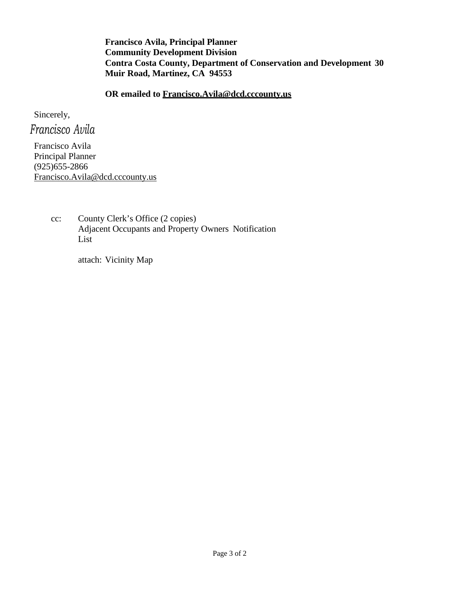**Francisco Avila, Principal Planner Community Development Division Contra Costa County, Department of Conservation and Development 30 Muir Road, Martinez, CA 94553**

**OR emailed to [Francisco.Avila@dcd.cccounty.us](mailto:Francisco.Avila@dcd.cccounty.us)**

Sincerely,

*Francisco Avila*

Francisco Avila Principal Planner (925)655-2866 [Francisco.Avila@dcd.cccounty.us](mailto:Francisco.Avila@dcd.cccounty.us)

> cc: County Clerk's Office (2 copies) Adjacent Occupants and Property Owners Notification List

> > attach: Vicinity Map